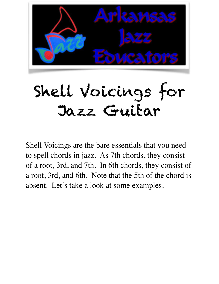

## Shell Voicings for Jazz Guitar

Shell Voicings are the bare essentials that you need to spell chords in jazz. As 7th chords, they consist of a root, 3rd, and 7th. In 6th chords, they consist of a root, 3rd, and 6th. Note that the 5th of the chord is absent. Let's take a look at some examples.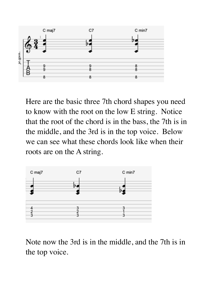

Here are the basic three 7th chord shapes you need to know with the root on the low E string. Notice that the root of the chord is in the bass, the 7th is in the middle, and the 3rd is in the top voice. Below we can see what these chords look like when their roots are on the A string.



Note now the 3rd is in the middle, and the 7th is in the top voice.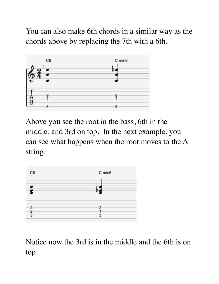You can also make 6th chords in a similar way as the chords above by replacing the 7th with a 6th.



Above you see the root in the bass, 6th in the middle, and 3rd on top. In the next example, you can see what happens when the root moves to the A string.



Notice now the 3rd is in the middle and the 6th is on top.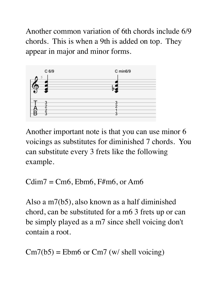Another common variation of 6th chords include 6/9 chords. This is when a 9th is added on top. They appear in major and minor forms.



Another important note is that you can use minor 6 voicings as substitutes for diminished 7 chords. You can substitute every 3 frets like the following example.

 $Cdim7 = Cm6$ ,  $Ebm6$ ,  $F#m6$ , or Am6

Also a m7(b5), also known as a half diminished chord, can be substituted for a m6 3 frets up or can be simply played as a m7 since shell voicing don't contain a root.

```
Cm7(b5) = Ebm6 or Cm7 (w/ shell voicing)
```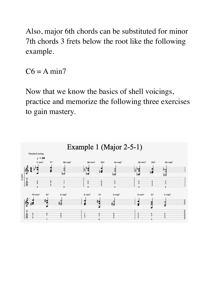Also, major 6th chords can be substituted for minor 7th chords 3 frets below the root like the following example.

 $C6 = A min7$ 

Now that we know the basics of shell voicings, practice and memorize the following three exercises to gain mastery.